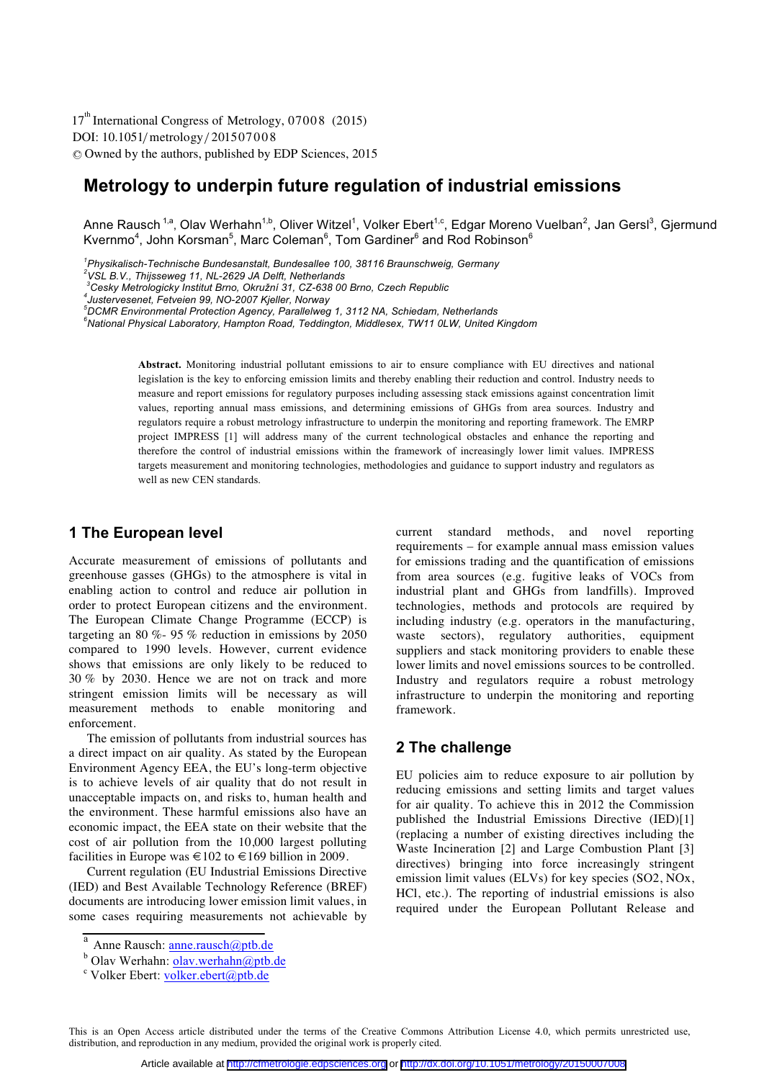DOI: 10.1051/metrology/201507008 -<sup>C</sup> Owned by the authors, published by EDP Sciences, 2015 17<sup>th</sup> International Congress of Metrology, 07008 (2015)

# **Metrology to underpin future regulation of industrial emissions**

Anne Rausch <sup>1,a</sup>, Olav Werhahn<sup>1,b</sup>, Oliver Witzel<sup>1</sup>, Volker Ebert<sup>1,c</sup>, Edgar Moreno Vuelban<sup>2</sup>, Jan Gersl<sup>3</sup>, Gjermund Kvernmo<sup>4</sup>, John Korsman<sup>5</sup>, Marc Coleman<sup>6</sup>, Tom Gardiner<sup>6</sup> and Rod Robinson<sup>6</sup>

<sup>1</sup> Physikalisch-Technische Bundesanstalt, Bundesallee 100, 38116 Braunschweig, Germany<br><sup>2</sup>VSL B.V., Thijecoures 11, NL 2629, LL Delft, Netherlands

<sup>3</sup>Cesky Metrologicky Institut Brno, Okružní 31, CZ-638 00 Brno, Czech Republic

**Abstract.** Monitoring industrial pollutant emissions to air to ensure compliance with EU directives and national legislation is the key to enforcing emission limits and thereby enabling their reduction and control. Industry needs to measure and report emissions for regulatory purposes including assessing stack emissions against concentration limit values, reporting annual mass emissions, and determining emissions of GHGs from area sources. Industry and regulators require a robust metrology infrastructure to underpin the monitoring and reporting framework. The EMRP project IMPRESS [1] will address many of the current technological obstacles and enhance the reporting and therefore the control of industrial emissions within the framework of increasingly lower limit values. IMPRESS targets measurement and monitoring technologies, methodologies and guidance to support industry and regulators as well as new CEN standards.

#### **1 The European level**

Accurate measurement of emissions of pollutants and greenhouse gasses (GHGs) to the atmosphere is vital in enabling action to control and reduce air pollution in order to protect European citizens and the environment. The European Climate Change Programme (ECCP) is targeting an 80 %- 95 % reduction in emissions by 2050 compared to 1990 levels. However, current evidence shows that emissions are only likely to be reduced to 30 % by 2030. Hence we are not on track and more stringent emission limits will be necessary as will measurement methods to enable monitoring and enforcement.

The emission of pollutants from industrial sources has a direct impact on air quality. As stated by the European Environment Agency EEA, the EU's long-term objective is to achieve levels of air quality that do not result in unacceptable impacts on, and risks to, human health and the environment. These harmful emissions also have an economic impact, the EEA state on their website that the cost of air pollution from the 10,000 largest polluting facilities in Europe was  $\in$  102 to  $\in$  169 billion in 2009.

Current regulation (EU Industrial Emissions Directive (IED) and Best Available Technology Reference (BREF) documents are introducing lower emission limit values, in some cases requiring measurements not achievable by

#### **2 The challenge**

EU policies aim to reduce exposure to air pollution by reducing emissions and setting limits and target values for air quality. To achieve this in 2012 the Commission published the Industrial Emissions Directive (IED)[1] (replacing a number of existing directives including the Waste Incineration [2] and Large Combustion Plant [3] directives) bringing into force increasingly stringent emission limit values (ELVs) for key species (SO2, NOx, HCl, etc.). The reporting of industrial emissions is also required under the European Pollutant Release and

This is an Open Access article distributed under the terms of the Creative Commons Attribution License 4.0, which permits unrestricted use, distribution, and reproduction in any medium, provided the original work is properly cited.

*VSL B.V., Thijsseweg 11, NL-2629 JA Delft, Netherlands* 

<sup>&</sup>lt;sup>3</sup>Cesky Metrologicky Institut Brno, Okružní 31, CZ-638 00 Brno, Czech Republic<br><sup>4</sup>Justervesenet, Fetveien 99, NO-2007 Kjeller, Norway<br><sup>5</sup>DCMR Environmental Protection Agency, Parallelweg 1, 3112 NA, Schiedam, Netherlands<br>

*National Physical Laboratory, Hampton Road, Teddington, Middlesex, TW11 0LW, United Kingdom* 

current standard methods, and novel reporting requirements – for example annual mass emission values for emissions trading and the quantification of emissions from area sources (e.g. fugitive leaks of VOCs from industrial plant and GHGs from landfills). Improved technologies, methods and protocols are required by including industry (e.g. operators in the manufacturing, waste sectors), regulatory authorities, equipment suppliers and stack monitoring providers to enable these lower limits and novel emissions sources to be controlled. Industry and regulators require a robust metrology infrastructure to underpin the monitoring and reporting framework.

<sup>&</sup>lt;sup>a</sup> Anne Rausch: **anne.rausch@ptb.de** 

<sup>&</sup>lt;sup>b</sup> Olav Werhahn: <u>olav.werhahn@ptb.de</u><br><sup>c</sup> Volker Ebert: volker.gbert@ptb.de

 $\textdegree$  Volker Ebert: volker.ebert@ptb.de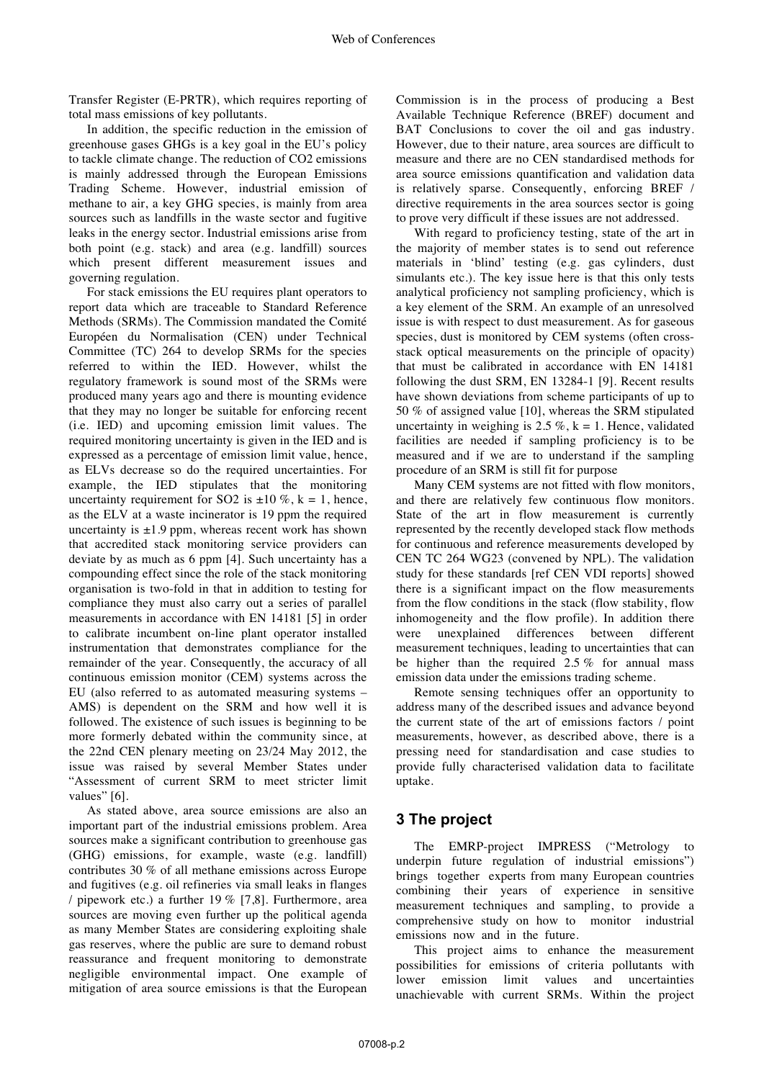Transfer Register (E-PRTR), which requires reporting of total mass emissions of key pollutants.

In addition, the specific reduction in the emission of greenhouse gases GHGs is a key goal in the EU's policy to tackle climate change. The reduction of CO2 emissions is mainly addressed through the European Emissions Trading Scheme. However, industrial emission of methane to air, a key GHG species, is mainly from area sources such as landfills in the waste sector and fugitive leaks in the energy sector. Industrial emissions arise from both point (e.g. stack) and area (e.g. landfill) sources which present different measurement issues and governing regulation.

For stack emissions the EU requires plant operators to report data which are traceable to Standard Reference Methods (SRMs). The Commission mandated the Comité Européen du Normalisation (CEN) under Technical Committee (TC) 264 to develop SRMs for the species referred to within the IED. However, whilst the regulatory framework is sound most of the SRMs were produced many years ago and there is mounting evidence that they may no longer be suitable for enforcing recent (i.e. IED) and upcoming emission limit values. The required monitoring uncertainty is given in the IED and is expressed as a percentage of emission limit value, hence, as ELVs decrease so do the required uncertainties. For example, the IED stipulates that the monitoring uncertainty requirement for SO2 is  $\pm 10\%$ , k = 1, hence, as the ELV at a waste incinerator is 19 ppm the required uncertainty is  $\pm 1.9$  ppm, whereas recent work has shown that accredited stack monitoring service providers can deviate by as much as 6 ppm [4]. Such uncertainty has a compounding effect since the role of the stack monitoring organisation is two-fold in that in addition to testing for compliance they must also carry out a series of parallel measurements in accordance with EN 14181 [5] in order to calibrate incumbent on-line plant operator installed instrumentation that demonstrates compliance for the remainder of the year. Consequently, the accuracy of all continuous emission monitor (CEM) systems across the EU (also referred to as automated measuring systems – AMS) is dependent on the SRM and how well it is followed. The existence of such issues is beginning to be more formerly debated within the community since, at the 22nd CEN plenary meeting on 23/24 May 2012, the issue was raised by several Member States under "Assessment of current SRM to meet stricter limit values" [6].

As stated above, area source emissions are also an important part of the industrial emissions problem. Area sources make a significant contribution to greenhouse gas (GHG) emissions, for example, waste (e.g. landfill) contributes 30 % of all methane emissions across Europe and fugitives (e.g. oil refineries via small leaks in flanges / pipework etc.) a further 19 % [7,8]. Furthermore, area sources are moving even further up the political agenda as many Member States are considering exploiting shale gas reserves, where the public are sure to demand robust reassurance and frequent monitoring to demonstrate negligible environmental impact. One example of mitigation of area source emissions is that the European

Commission is in the process of producing a Best Available Technique Reference (BREF) document and BAT Conclusions to cover the oil and gas industry. However, due to their nature, area sources are difficult to measure and there are no CEN standardised methods for area source emissions quantification and validation data is relatively sparse. Consequently, enforcing BREF / directive requirements in the area sources sector is going to prove very difficult if these issues are not addressed.

With regard to proficiency testing, state of the art in the majority of member states is to send out reference materials in 'blind' testing (e.g. gas cylinders, dust simulants etc.). The key issue here is that this only tests analytical proficiency not sampling proficiency, which is a key element of the SRM. An example of an unresolved issue is with respect to dust measurement. As for gaseous species, dust is monitored by CEM systems (often crossstack optical measurements on the principle of opacity) that must be calibrated in accordance with EN 14181 following the dust SRM, EN 13284-1 [9]. Recent results have shown deviations from scheme participants of up to 50 % of assigned value [10], whereas the SRM stipulated uncertainty in weighing is  $2.5\%$ , k = 1. Hence, validated facilities are needed if sampling proficiency is to be measured and if we are to understand if the sampling procedure of an SRM is still fit for purpose

Many CEM systems are not fitted with flow monitors, and there are relatively few continuous flow monitors. State of the art in flow measurement is currently represented by the recently developed stack flow methods for continuous and reference measurements developed by CEN TC 264 WG23 (convened by NPL). The validation study for these standards [ref CEN VDI reports] showed there is a significant impact on the flow measurements from the flow conditions in the stack (flow stability, flow inhomogeneity and the flow profile). In addition there were unexplained differences between different measurement techniques, leading to uncertainties that can be higher than the required  $2.5\%$  for annual mass emission data under the emissions trading scheme.

Remote sensing techniques offer an opportunity to address many of the described issues and advance beyond the current state of the art of emissions factors / point measurements, however, as described above, there is a pressing need for standardisation and case studies to provide fully characterised validation data to facilitate uptake.

### **3 The project**

The EMRP-project IMPRESS ("Metrology to underpin future regulation of industrial emissions") brings together experts from many European countries combining their years of experience in sensitive measurement techniques and sampling, to provide a comprehensive study on how to monitor industrial emissions now and in the future.

This project aims to enhance the measurement possibilities for emissions of criteria pollutants with lower emission limit values and uncertainties unachievable with current SRMs. Within the project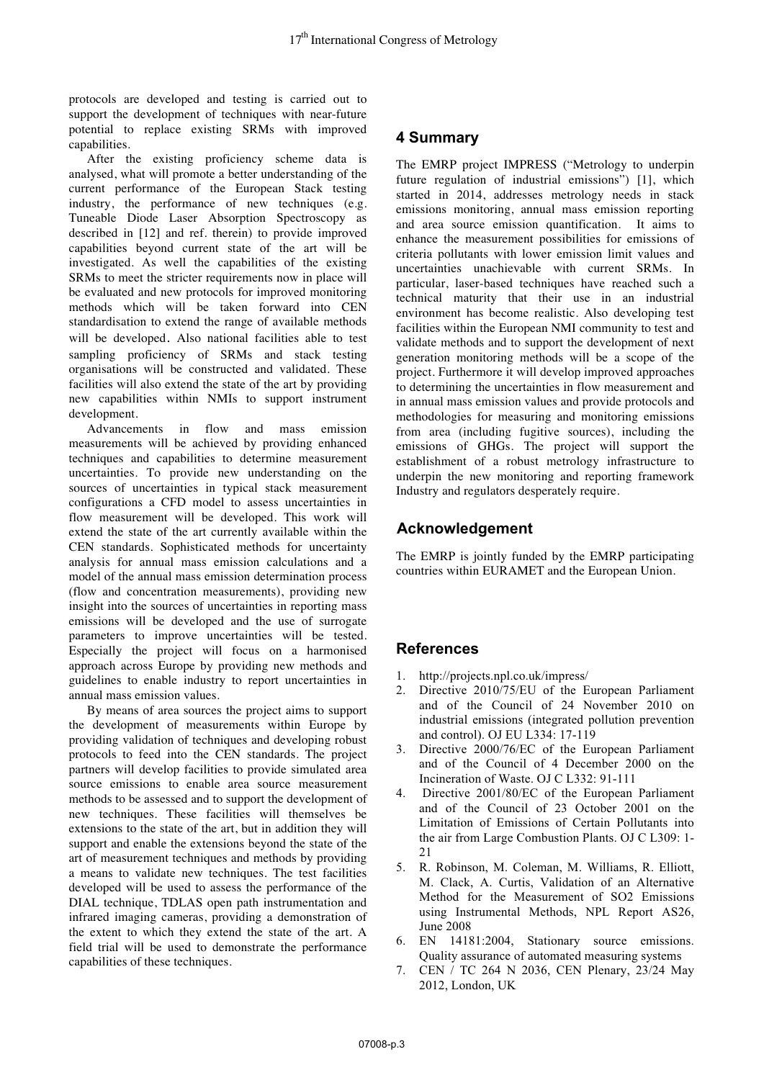protocols are developed and testing is carried out to support the development of techniques with near-future potential to replace existing SRMs with improved capabilities.

After the existing proficiency scheme data is analysed, what will promote a better understanding of the current performance of the European Stack testing industry, the performance of new techniques (e.g. Tuneable Diode Laser Absorption Spectroscopy as described in [12] and ref. therein) to provide improved capabilities beyond current state of the art will be investigated. As well the capabilities of the existing SRMs to meet the stricter requirements now in place will be evaluated and new protocols for improved monitoring methods which will be taken forward into CEN standardisation to extend the range of available methods will be developed. Also national facilities able to test sampling proficiency of SRMs and stack testing organisations will be constructed and validated. These facilities will also extend the state of the art by providing new capabilities within NMIs to support instrument development.

Advancements in flow and mass emission measurements will be achieved by providing enhanced techniques and capabilities to determine measurement uncertainties. To provide new understanding on the sources of uncertainties in typical stack measurement configurations a CFD model to assess uncertainties in flow measurement will be developed. This work will extend the state of the art currently available within the CEN standards. Sophisticated methods for uncertainty analysis for annual mass emission calculations and a model of the annual mass emission determination process (flow and concentration measurements), providing new insight into the sources of uncertainties in reporting mass emissions will be developed and the use of surrogate parameters to improve uncertainties will be tested. Especially the project will focus on a harmonised approach across Europe by providing new methods and guidelines to enable industry to report uncertainties in annual mass emission values.

By means of area sources the project aims to support the development of measurements within Europe by providing validation of techniques and developing robust protocols to feed into the CEN standards. The project partners will develop facilities to provide simulated area source emissions to enable area source measurement methods to be assessed and to support the development of new techniques. These facilities will themselves be extensions to the state of the art, but in addition they will support and enable the extensions beyond the state of the art of measurement techniques and methods by providing a means to validate new techniques. The test facilities developed will be used to assess the performance of the DIAL technique, TDLAS open path instrumentation and infrared imaging cameras, providing a demonstration of the extent to which they extend the state of the art. A field trial will be used to demonstrate the performance capabilities of these techniques.

## **4 Summary**

The EMRP project IMPRESS ("Metrology to underpin future regulation of industrial emissions") [1], which started in 2014, addresses metrology needs in stack emissions monitoring, annual mass emission reporting and area source emission quantification. It aims to enhance the measurement possibilities for emissions of criteria pollutants with lower emission limit values and uncertainties unachievable with current SRMs. In particular, laser-based techniques have reached such a technical maturity that their use in an industrial environment has become realistic. Also developing test facilities within the European NMI community to test and validate methods and to support the development of next generation monitoring methods will be a scope of the project. Furthermore it will develop improved approaches to determining the uncertainties in flow measurement and in annual mass emission values and provide protocols and methodologies for measuring and monitoring emissions from area (including fugitive sources), including the emissions of GHGs. The project will support the establishment of a robust metrology infrastructure to underpin the new monitoring and reporting framework Industry and regulators desperately require.

## **Acknowledgement**

The EMRP is jointly funded by the EMRP participating countries within EURAMET and the European Union.

### **References**

- 1. http://projects.npl.co.uk/impress/
- 2. Directive 2010/75/EU of the European Parliament and of the Council of 24 November 2010 on industrial emissions (integrated pollution prevention and control). OJ EU L334: 17-119
- 3. Directive 2000/76/EC of the European Parliament and of the Council of 4 December 2000 on the Incineration of Waste. OJ C L332: 91-111
- 4. Directive 2001/80/EC of the European Parliament and of the Council of 23 October 2001 on the Limitation of Emissions of Certain Pollutants into the air from Large Combustion Plants. OJ C L309: 1-  $21$
- 5. R. Robinson, M. Coleman, M. Williams, R. Elliott, M. Clack, A. Curtis, Validation of an Alternative Method for the Measurement of SO2 Emissions using Instrumental Methods, NPL Report AS26, June 2008
- 6. EN 14181:2004, Stationary source emissions. Quality assurance of automated measuring systems
- 7. CEN / TC 264 N 2036, CEN Plenary, 23/24 May 2012, London, UK